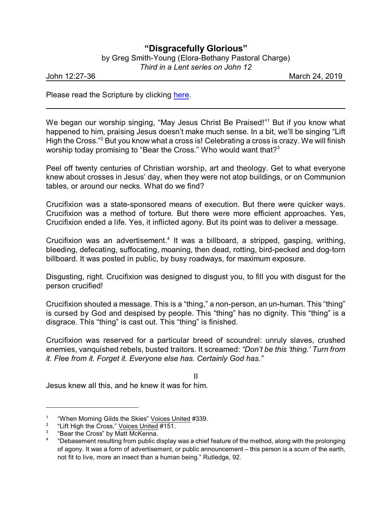## **"Disgracefully Glorious"**

by Greg Smith-Young (Elora-Bethany Pastoral Charge)

*Third in a Lent series on John 12*

John 12:27-36 March 24, 2019

Please read the Scripture by clicking [here](https://www.biblegateway.com/passage/?search=John+12%3A27-36&version=CEB).

We began our worship singing, "May Jesus Christ Be Praised!" <sup>1</sup> But if you know what happened to him, praising Jesus doesn't make much sense. In a bit, we'll be singing "Lift High the Cross."<sup>2</sup> But you know what a cross is! Celebrating a cross is crazy. We will finish worship today promising to "Bear the Cross." Who would want that? $3^3$ 

Peel off twenty centuries of Christian worship, art and theology. Get to what everyone knew about crosses in Jesus' day, when they were not atop buildings, or on Communion tables, or around our necks. What do we find?

Crucifixion was a state-sponsored means of execution. But there were quicker ways. Crucifixion was a method of torture. But there were more efficient approaches. Yes, Crucifixion ended a life. Yes, it inflicted agony. But its point was to deliver a message.

Crucifixion was an advertisement.<sup>4</sup> It was a billboard, a stripped, gasping, writhing, bleeding, defecating, suffocating, moaning, then dead, rotting, bird-pecked and dog-torn billboard. It was posted in public, by busy roadways, for maximum exposure.

Disgusting, right. Crucifixion was designed to disgust you, to fill you with disgust for the person crucified!

Crucifixion shouted a message. This is a "thing," a non-person, an un-human. This "thing" is cursed by God and despised by people. This "thing" has no dignity. This "thing" is a disgrace. This "thing" is cast out. This "thing" is finished.

Crucifixion was reserved for a particular breed of scoundrel: unruly slaves, crushed enemies, vanquished rebels, busted traitors. It screamed: *"Don't be this 'thing.' Turn from it. Flee from it. Forget it. Everyone else has. Certainly God has."*

II

Jesus knew all this, and he knew it was for him.

<sup>1</sup> "When Morning Gilds the Skies" Voices United #339.

<sup>2</sup> "Lift High the Cross," Voices United #151.

<sup>3</sup> "Bear the Cross" by Matt McKenna.

<sup>4</sup> "Debasement resulting from public display was a chief feature of the method, along with the prolonging of agony. It was a form of advertisement, or public announcement – this person is a scum of the earth, not fit to live, more an insect than a human being." Rutledge, 92.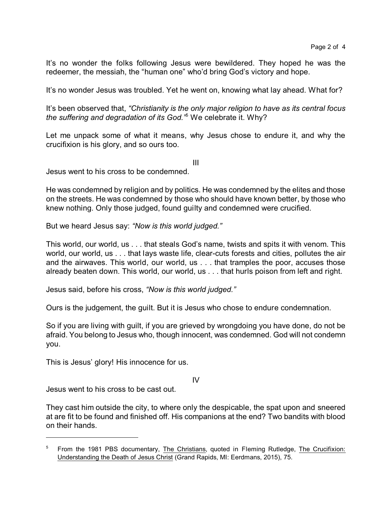It's no wonder the folks following Jesus were bewildered. They hoped he was the redeemer, the messiah, the "human one" who'd bring God's victory and hope.

It's no wonder Jesus was troubled. Yet he went on, knowing what lay ahead. What for?

It's been observed that, *"Christianity is the only major religion to have as its central focus the suffering and degradation of its God."*<sup>5</sup> We celebrate it. Why?

Let me unpack some of what it means, why Jesus chose to endure it, and why the crucifixion is his glory, and so ours too.

III

Jesus went to his cross to be condemned.

He was condemned by religion and by politics. He was condemned by the elites and those on the streets. He was condemned by those who should have known better, by those who knew nothing. Only those judged, found guilty and condemned were crucified.

But we heard Jesus say: *"Now is this world judged."*

This world, our world, us . . . that steals God's name, twists and spits it with venom. This world, our world, us . . . that lays waste life, clear-cuts forests and cities, pollutes the air and the airwaves. This world, our world, us . . . that tramples the poor, accuses those already beaten down. This world, our world, us . . . that hurls poison from left and right.

Jesus said, before his cross, *"Now is this world judged."*

Ours is the judgement, the guilt. But it is Jesus who chose to endure condemnation.

So if you are living with guilt, if you are grieved by wrongdoing you have done, do not be afraid. You belong to Jesus who, though innocent, was condemned. God will not condemn you.

This is Jesus' glory! His innocence for us.

IV

Jesus went to his cross to be cast out.

They cast him outside the city, to where only the despicable, the spat upon and sneered at are fit to be found and finished off. His companions at the end? Two bandits with blood on their hands.

<sup>&</sup>lt;sup>5</sup> From the 1981 PBS documentary, The Christians, quoted in Fleming Rutledge, The Crucifixion: Understanding the Death of Jesus Christ (Grand Rapids, MI: Eerdmans, 2015), 75.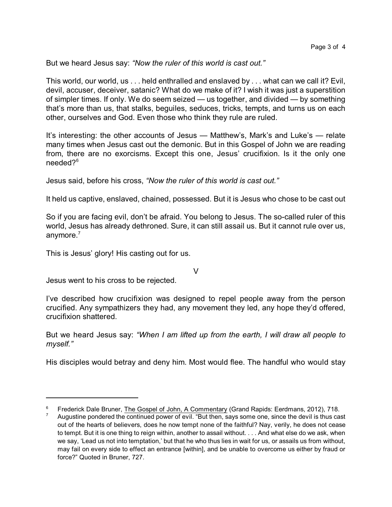But we heard Jesus say: *"Now the ruler of this world is cast out."*

This world, our world, us . . . held enthralled and enslaved by . . . what can we call it? Evil, devil, accuser, deceiver, satanic? What do we make of it? I wish it was just a superstition of simpler times. If only. We do seem seized — us together, and divided — by something that's more than us, that stalks, beguiles, seduces, tricks, tempts, and turns us on each other, ourselves and God. Even those who think they rule are ruled.

It's interesting: the other accounts of Jesus — Matthew's, Mark's and Luke's — relate many times when Jesus cast out the demonic. But in this Gospel of John we are reading from, there are no exorcisms. Except this one, Jesus' crucifixion. Is it the only one needed?<sup>6</sup>

Jesus said, before his cross, *"Now the ruler of this world is cast out."*

It held us captive, enslaved, chained, possessed. But it is Jesus who chose to be cast out

So if you are facing evil, don't be afraid. You belong to Jesus. The so-called ruler of this world, Jesus has already dethroned. Sure, it can still assail us. But it cannot rule over us, anymore.<sup>7</sup>

This is Jesus' glory! His casting out for us.

V

Jesus went to his cross to be rejected.

I've described how crucifixion was designed to repel people away from the person crucified. Any sympathizers they had, any movement they led, any hope they'd offered, crucifixion shattered.

But we heard Jesus say: *"When I am lifted up from the earth, I will draw all people to myself."*

His disciples would betray and deny him. Most would flee. The handful who would stay

<sup>6</sup> Frederick Dale Bruner, The Gospel of John, A Commentary (Grand Rapids: Eerdmans, 2012), 718.

Augustine pondered the continued power of evil. "But then, says some one, since the devil is thus cast out of the hearts of believers, does he now tempt none of the faithful? Nay, verily, he does not cease to tempt. But it is one thing to reign within, another to assail without. . . . And what else do we ask, when we say, 'Lead us not into temptation,' but that he who thus lies in wait for us, or assails us from without, may fail on every side to effect an entrance [within], and be unable to overcome us either by fraud or force?" Quoted in Bruner, 727.